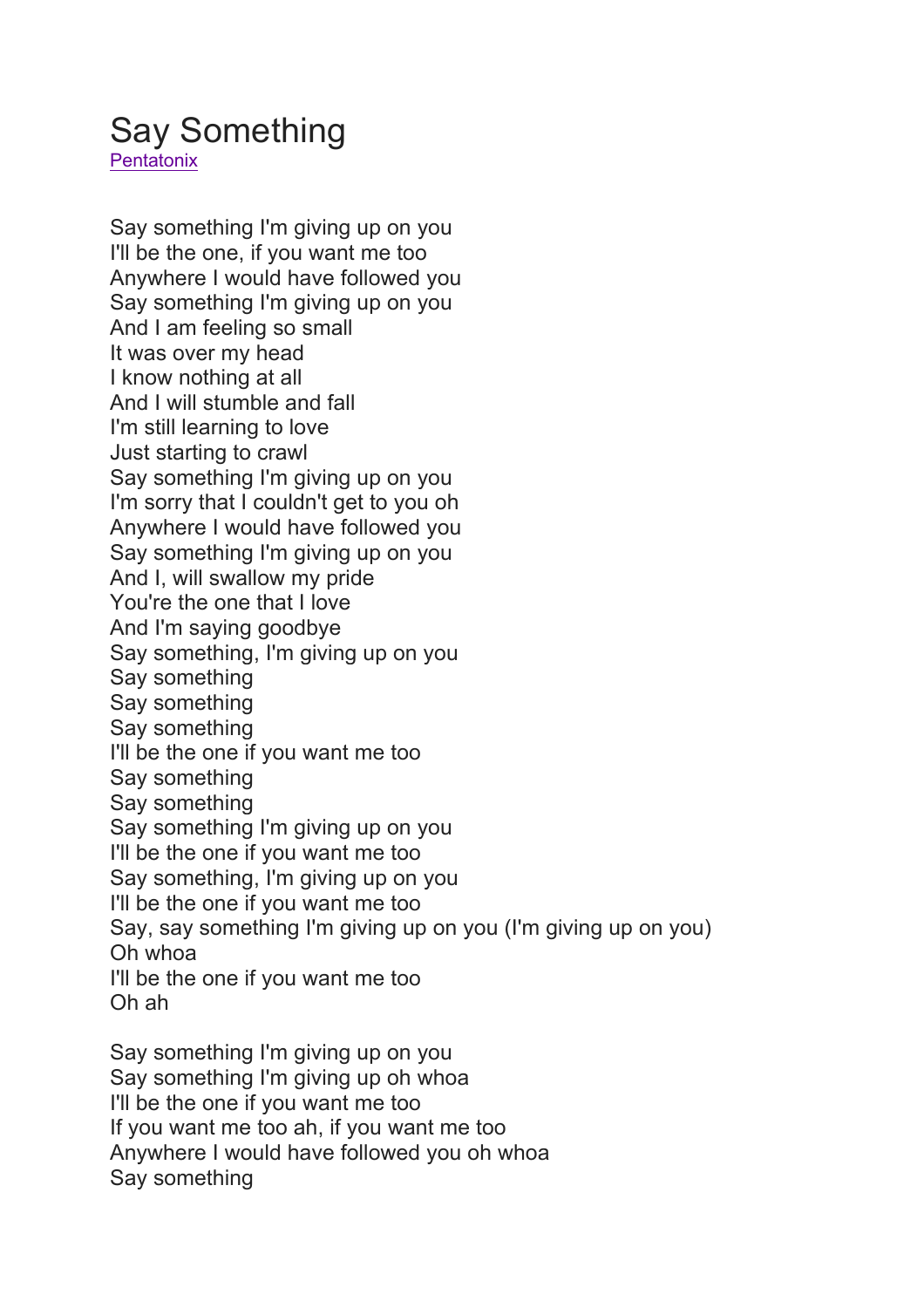## Say Something

**Pentatonix** 

Say something I'm giving up on you I'll be the one, if you want me too Anywhere I would have followed you Say something I'm giving up on you And I am feeling so small It was over my head I know nothing at all And I will stumble and fall I'm still learning to love Just starting to crawl Say something I'm giving up on you I'm sorry that I couldn't get to you oh Anywhere I would have followed you Say something I'm giving up on you And I, will swallow my pride You're the one that I love And I'm saying goodbye Say something, I'm giving up on you Say something Say something Say something I'll be the one if you want me too Say something Say something Say something I'm giving up on you I'll be the one if you want me too Say something, I'm giving up on you I'll be the one if you want me too Say, say something I'm giving up on you (I'm giving up on you) Oh whoa I'll be the one if you want me too Oh ah

Say something I'm giving up on you Say something I'm giving up oh whoa I'll be the one if you want me too If you want me too ah, if you want me too Anywhere I would have followed you oh whoa Say something